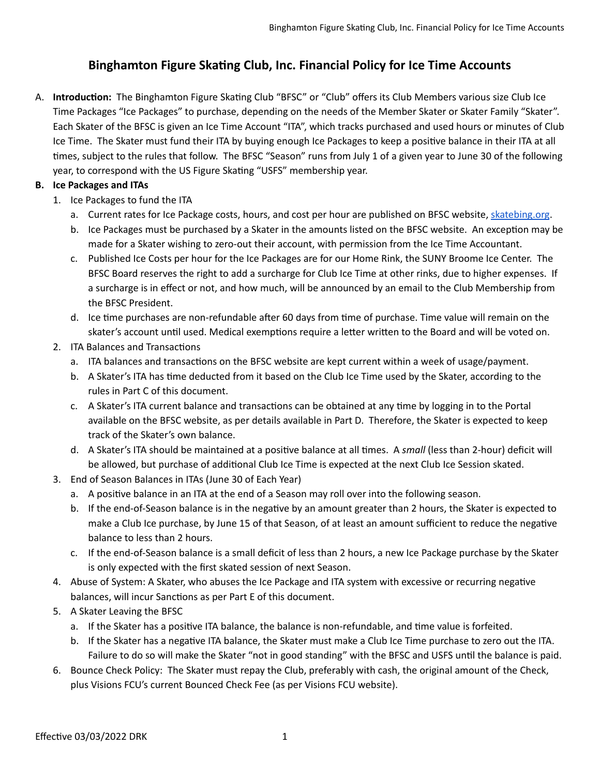# **Binghamton Figure Skating Club, Inc. Financial Policy for Ice Time Accounts**

A. Introduction: The Binghamton Figure Skating Club "BFSC" or "Club" offers its Club Members various size Club Ice Time Packages "Ice Packages" to purchase, depending on the needs of the Member Skater or Skater Family "Skater". Each Skater of the BFSC is given an Ice Time Account "ITA", which tracks purchased and used hours or minutes of Club Ice Time. The Skater must fund their ITA by buying enough Ice Packages to keep a positive balance in their ITA at all times, subject to the rules that follow. The BFSC "Season" runs from July 1 of a given year to June 30 of the following vear, to correspond with the US Figure Skating "USFS" membership year.

#### **B. Ice Packages and ITAs**

- 1. Ice Packages to fund the ITA
	- a. Current rates for Ice Package costs, hours, and cost per hour are published on BFSC website, [skatebing.org](https://skatebing.org/).
	- b. Ice Packages must be purchased by a Skater in the amounts listed on the BFSC website. An exception may be made for a Skater wishing to zero-out their account, with permission from the Ice Time Accountant.
	- c. Published Ice Costs per hour for the Ice Packages are for our Home Rink, the SUNY Broome Ice Center. The BFSC Board reserves the right to add a surcharge for Club Ice Time at other rinks, due to higher expenses. If a surcharge is in effect or not, and how much, will be announced by an email to the Club Membership from the BFSC President.
	- d. Ice time purchases are non-refundable after 60 days from time of purchase. Time value will remain on the skater's account until used. Medical exemptions require a letter written to the Board and will be voted on.
- 2. ITA Balances and Transactions
	- a. ITA balances and transactions on the BFSC website are kept current within a week of usage/payment.
	- b. A Skater's ITA has time deducted from it based on the Club Ice Time used by the Skater, according to the rules in Part C of this document.
	- c. A Skater's ITA current balance and transactions can be obtained at any time by logging in to the Portal available on the BFSC website, as per details available in Part D. Therefore, the Skater is expected to keep track of the Skater's own balance.
	- d. A Skater's ITA should be maintained at a positive balance at all times. A *small* (less than 2-hour) deficit will be allowed, but purchase of additional Club Ice Time is expected at the next Club Ice Session skated.
- 3. End of Season Balances in ITAs (June 30 of Each Year)
	- a. A positive balance in an ITA at the end of a Season may roll over into the following season.
	- b. If the end-of-Season balance is in the negative by an amount greater than 2 hours, the Skater is expected to make a Club Ice purchase, by June 15 of that Season, of at least an amount sufficient to reduce the negative balance to less than 2 hours.
	- c. If the end-of-Season balance is a small deficit of less than 2 hours, a new Ice Package purchase by the Skater is only expected with the first skated session of next Season.
- 4. Abuse of System: A Skater, who abuses the Ice Package and ITA system with excessive or recurring negative balances, will incur Sanctions as per Part E of this document.
- 5. A Skater Leaving the BFSC
	- a. If the Skater has a positive ITA balance, the balance is non-refundable, and time value is forfeited.
	- b. If the Skater has a negative ITA balance, the Skater must make a Club Ice Time purchase to zero out the ITA. Failure to do so will make the Skater "not in good standing" with the BFSC and USFS until the balance is paid.
- 6. Bounce Check Policy: The Skater must repay the Club, preferably with cash, the original amount of the Check, plus Visions FCU's current Bounced Check Fee (as per Visions FCU website).